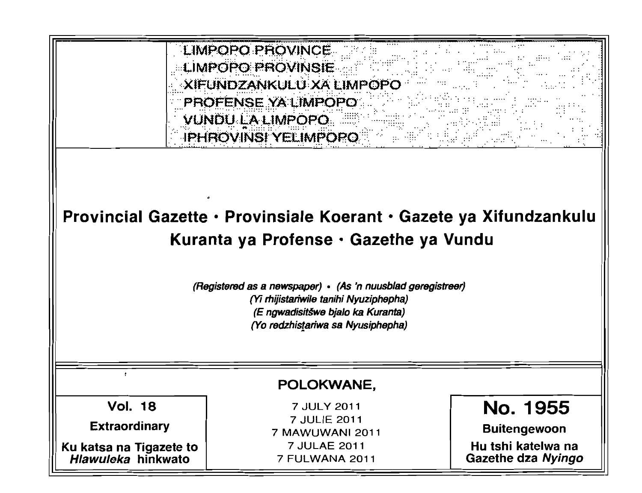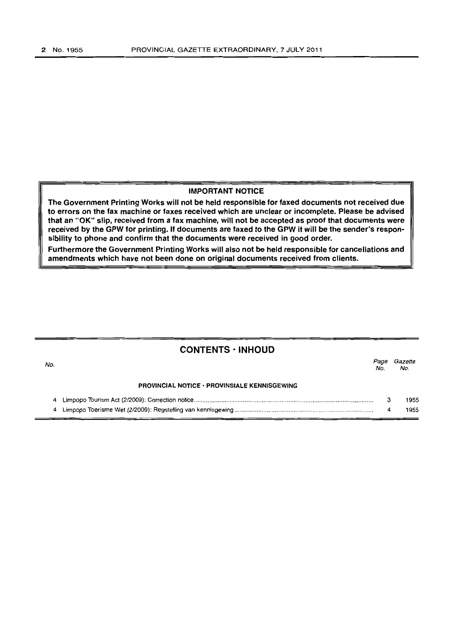#### IMPORTANT NOTICE

The Government Printing Works will not be held responsible for faxed documents not received due to errors on the fax machine or faxes received which are unclear or incomplete. Please be advised that an "OK" slip, received from a fax machine, will not be accepted as proof that documents were received by the GPW for printing. If documents are faxed to the GPW it will be the sender's responsibility to phone and confirm that the documents were received in good order.

Furthermore the Government Printing Works will also not be held responsible for cancellations and amendments which have not been done on original documents received from clients.

## **CONTENTS • INHOUD**

| No. |                                                     | Page<br>No. | Gazette<br>No. |
|-----|-----------------------------------------------------|-------------|----------------|
|     | <b>PROVINCIAL NOTICE · PROVINSIALE KENNISGEWING</b> |             |                |
|     |                                                     |             | 1955           |
|     |                                                     |             | 1955           |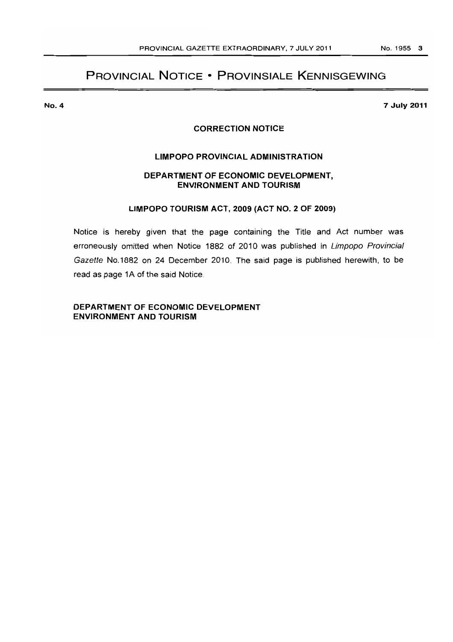## **PROVINCIAL NOTICE • PROVINSIALE KENNISGEWING**

**No.4** 

**7 July 2011** 

### **CORRECTION NOTICE**

#### **LIMPOPO PROVINCIAL ADMINISTRATION**

## **DEPARTMENT OF ECONOMIC DEVELOPMENT, ENVIRONMENT AND TOURISM**

#### **LIMPOPO TOURISM ACT, 2009 (ACT NO.2 OF 2009)**

Notice is hereby given that the page containing the Title and Act number was erroneously omitted when Notice 1882 of 2010 was published in Limpopo Provincial Gazette No.1882 on 24 December 2010. The said page is published herewith, to be read as page 1A of the said Notice.

**DEPARTMENT OF ECONOMIC DEVELOPMENT**  ENVIRONMENT AND TOURISM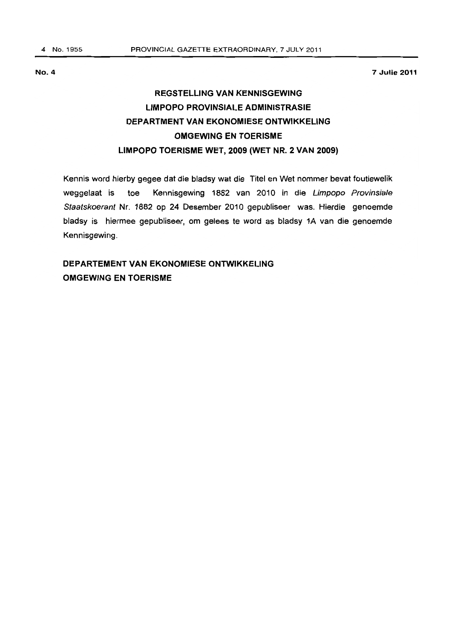No.4

7 Julie 2011

# REGSTELLING VAN KENNISGEWING LIMPOPO PROVINSIALE ADMINISTRASIE DEPARTMENT VAN EKONOMIESE ONTWIKKELING OMGEWJNG EN TOERJSME LIMPOPO TOERISME WET, 2009 (WET NR. 2 VAN 2009)

Kennis word hierby gegee dat die bladsy wat die Titel en Wet nommer bevat foutiewelik weggelaat is toe Kennisgewing 1882 van 2010 in die Limpopo Provinsiale Staatskoerant Nr. 1882 op 24 Desember 2010 gepubliseer was. Hierdie genoemde bladsy is hiermee gepubliseer, am gelees te word as bladsy 1A van die genoemde Kennisgewing.

## OEPARTEMENT VAN EKONOMIESE ONTWIKKELING OMGEWING EN TOERISME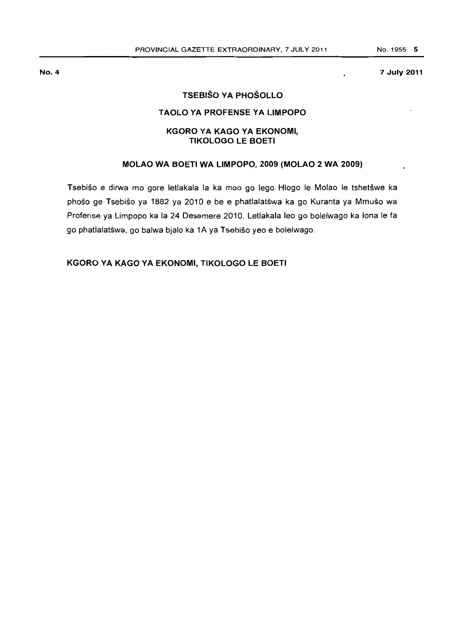#### 7 July 2011

## TSEBISO VA PHOSOllO

#### TAOlO VA PROFENSE VA LIMPOPO

## KGORO VA KAGO VA EKONOMI, TIKOlOGO lE BOETI

## MOlAO WA BOETI WA LIMPOPO, 2009 (MOlAO 2 WA 2009)

Tsebišo e dirwa mo gore letlakala la ka moo go lego Hlogo le Molao le tshetšwe ka phoso ge Tsebiso ya 1882 ya 2010 e be e phatlalatswa ka go Kuranta ya Mmuso wa Profense ya Limpopo ka la 24 Desemere 2010. Letlakala leo go bolelwago ka lona Ie fa go phatlalatšwa, go balwa bjalo ka 1A ya Tsebišo yeo e bolelwago.

KGORO YA KAGO VA EKONOMI, TIKOlOGO lE BOETI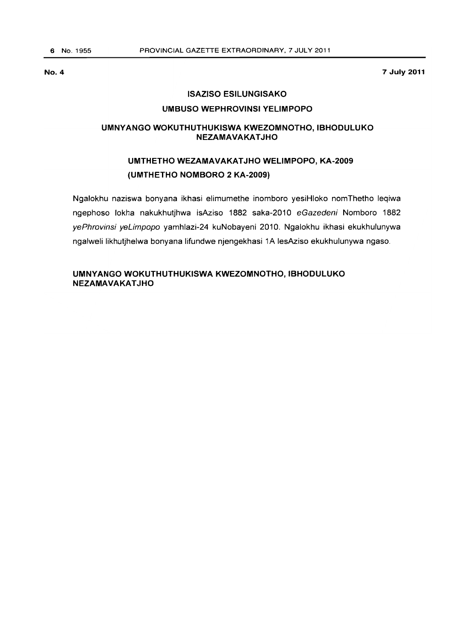**7 July 2011** 

#### **ISAZISO ESILUNGISAKO**

### **UMBUSO WEPHROVINSI YELIMPOPO**

#### **UMNYANGO WOKUTHUTHUKISWA KWEZOMNOTHO, IBHODULUKO NEZAMAVAKATJHO**

## **UMTHETHO WEZAMAVAKATJHO WELIMPOPO, KA-2009 (UMTHETHO NOMBORO 2 KA-2009)**

Ngalokhu naziswa bonyana ikhasi elimumethe inomboro yesiHloko nomThetho leqiwa ngephoso lokha nakukhutjhwa isAziso 1882 saka-2010 eGazedeni Nomboro 1882 yePhrovinsi yeLimpopo yamhlazi-24 kuNobayeni 2010. Ngalokhu ikhasi ekukhulunywa ngalweli likhutjhelwa bonyana lifundwe njengekhasi 1A lesAziso ekukhulunywa ngaso.

### **UMNYANGO WOKUTHUTHUKISWA KWEZOMNOTHO, IBHODULUKO NEZAMAVAKAT JHO**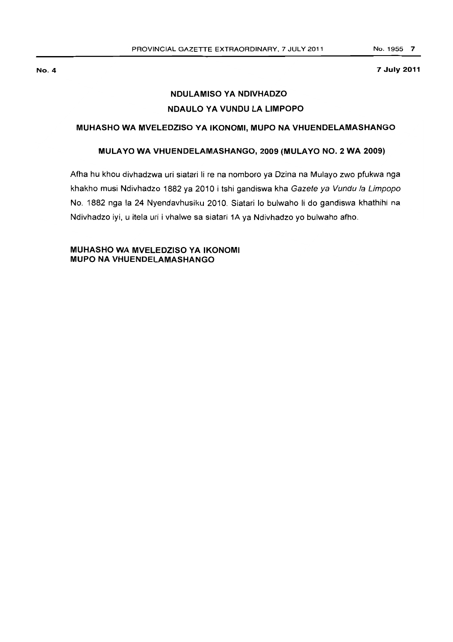#### No.4

7 July 2011

## NDULAMISO YA NDIVHADZO NDAULO YA VUNDU LA LIMPOPO

### MUHASHO WA MVELEDZISO YA IKONOMI, MUPO NA VHUENDELAMASHANGO

### MULA YO WA VHUENDELAMASHANGO, 2009 (MULA YO NO.2 WA 2009)

Afha hu khou divhadzwa uri siatari Ii re na nomboro ya Dzina na Mulayo zwo pfukwa nga khakho musi Ndivhadzo 1882 ya 2010 i tshi gandiswa kha Gazete ya Vundu la Limpopo No. 1882 nga la 24 Nyendavhusiku 2010. Siatari 10 bulwaho Ii do gandiswa khathihi na Ndivhadzo iyi, u itela uri i vhalwe sa siatari 1A ya Ndivhadzo yo bulwaho afho.

## MUHASHO WA MVELEDZISO YA IKONOMI MUPO NA VHUENDELAMASHANGO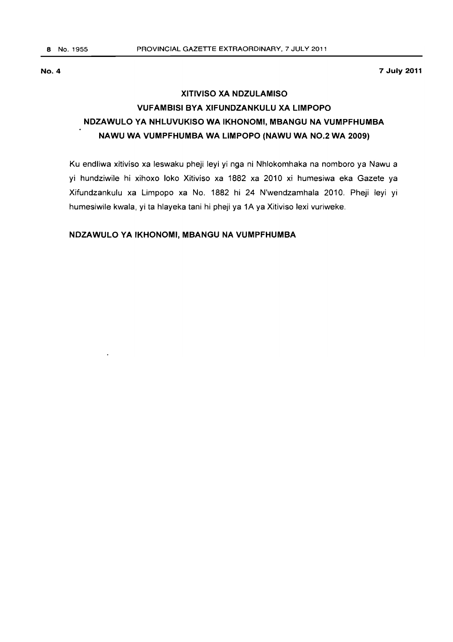**7 July 2011** 

# **XITIVISO XA NDZULAMISO VUFAMBISI BYA XIFUNDZANKULU XA LIMPOPO NDZAWULO YA NHLUVUKISO WA IKHONOMI, MBANGU NA VUMPFHUMBA NAWU WA VUMPFHUMBA WA LIMPOPO (NAWU WA NO.2 WA 2009)**

Ku endliwa xitiviso xa leswaku pheji leyi yi nga ni Nhlokomhaka na nomboro ya Nawu a yi hundziwile hi xihoxo loko Xitiviso xa 1882 xa 2010 xi humesiwa eka Gazete ya Xifundzankulu xa Limpopo xa No. 1882 hi 24 N'wendzamhala 2010. Pheji leyi yi humesiwile kwala, yi ta hlayeka tani hi pheji ya 1A ya Xitiviso lexi vuriweke.

#### **NDZAWULO YA IKHONOMI, MBANGU NA VUMPFHUMBA**